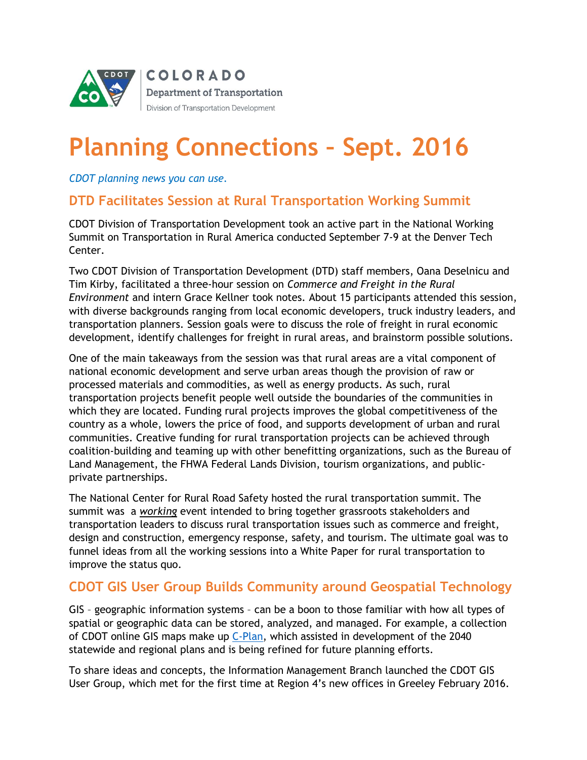

# **Planning Connections – Sept. 2016**

*CDOT planning news you can use.*

#### **DTD Facilitates Session at Rural Transportation Working Summit**

CDOT Division of Transportation Development took an active part in the National Working Summit on Transportation in Rural America conducted September 7-9 at the Denver Tech Center.

Two CDOT Division of Transportation Development (DTD) staff members, Oana Deselnicu and Tim Kirby, facilitated a three-hour session on *Commerce and Freight in the Rural Environment* and intern Grace Kellner took notes. About 15 participants attended this session, with diverse backgrounds ranging from local economic developers, truck industry leaders, and transportation planners. Session goals were to discuss the role of freight in rural economic development, identify challenges for freight in rural areas, and brainstorm possible solutions.

One of the main takeaways from the session was that rural areas are a vital component of national economic development and serve urban areas though the provision of raw or processed materials and commodities, as well as energy products. As such, rural transportation projects benefit people well outside the boundaries of the communities in which they are located. Funding rural projects improves the global competitiveness of the country as a whole, lowers the price of food, and supports development of urban and rural communities. Creative funding for rural transportation projects can be achieved through coalition-building and teaming up with other benefitting organizations, such as the Bureau of Land Management, the FHWA Federal Lands Division, tourism organizations, and publicprivate partnerships.

The National Center for Rural Road Safety hosted the rural transportation summit. The summit was a *working* event intended to bring together grassroots stakeholders and transportation leaders to discuss rural transportation issues such as commerce and freight, design and construction, emergency response, safety, and tourism. The ultimate goal was to funnel ideas from all the working sessions into a White Paper for rural transportation to improve the status quo.

#### **CDOT GIS User Group Builds Community around Geospatial Technology**

GIS – geographic information systems – can be a boon to those familiar with how all types of spatial or geographic data can be stored, analyzed, and managed. For example, a collection of CDOT online GIS maps make up *C-Plan*, which assisted in development of the 2040 statewide and regional plans and is being refined for future planning efforts.

To share ideas and concepts, the Information Management Branch launched the CDOT GIS User Group, which met for the first time at Region 4's new offices in Greeley February 2016.